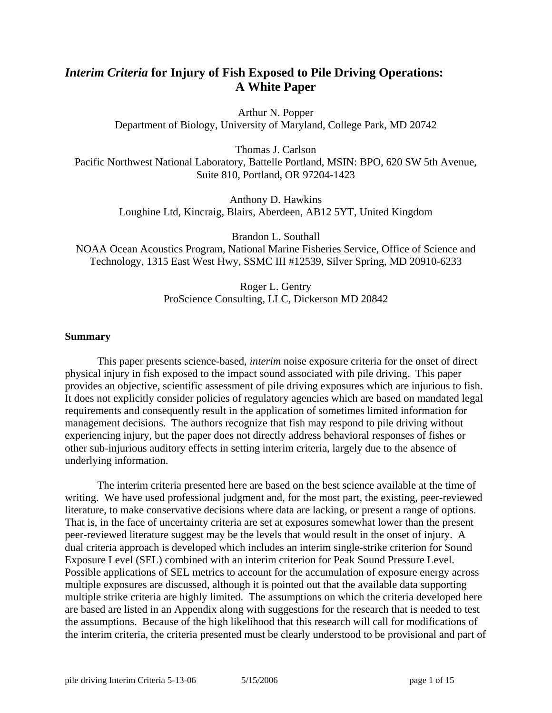# *Interim Criteria* **for Injury of Fish Exposed to Pile Driving Operations: A White Paper**

Arthur N. Popper Department of Biology, University of Maryland, College Park, MD 20742

Thomas J. Carlson

Pacific Northwest National Laboratory, Battelle Portland, MSIN: BPO, 620 SW 5th Avenue, Suite 810, Portland, OR 97204-1423

> Anthony D. Hawkins Loughine Ltd, Kincraig, Blairs, Aberdeen, AB12 5YT, United Kingdom

Brandon L. Southall NOAA Ocean Acoustics Program, National Marine Fisheries Service, Office of Science and Technology, 1315 East West Hwy, SSMC III #12539, Silver Spring, MD 20910-6233

> Roger L. Gentry ProScience Consulting, LLC, Dickerson MD 20842

# **Summary**

 This paper presents science-based, *interim* noise exposure criteria for the onset of direct physical injury in fish exposed to the impact sound associated with pile driving. This paper provides an objective, scientific assessment of pile driving exposures which are injurious to fish. It does not explicitly consider policies of regulatory agencies which are based on mandated legal requirements and consequently result in the application of sometimes limited information for management decisions. The authors recognize that fish may respond to pile driving without experiencing injury, but the paper does not directly address behavioral responses of fishes or other sub-injurious auditory effects in setting interim criteria, largely due to the absence of underlying information.

The interim criteria presented here are based on the best science available at the time of writing. We have used professional judgment and, for the most part, the existing, peer-reviewed literature, to make conservative decisions where data are lacking, or present a range of options. That is, in the face of uncertainty criteria are set at exposures somewhat lower than the present peer-reviewed literature suggest may be the levels that would result in the onset of injury. A dual criteria approach is developed which includes an interim single-strike criterion for Sound Exposure Level (SEL) combined with an interim criterion for Peak Sound Pressure Level. Possible applications of SEL metrics to account for the accumulation of exposure energy across multiple exposures are discussed, although it is pointed out that the available data supporting multiple strike criteria are highly limited. The assumptions on which the criteria developed here are based are listed in an Appendix along with suggestions for the research that is needed to test the assumptions. Because of the high likelihood that this research will call for modifications of the interim criteria, the criteria presented must be clearly understood to be provisional and part of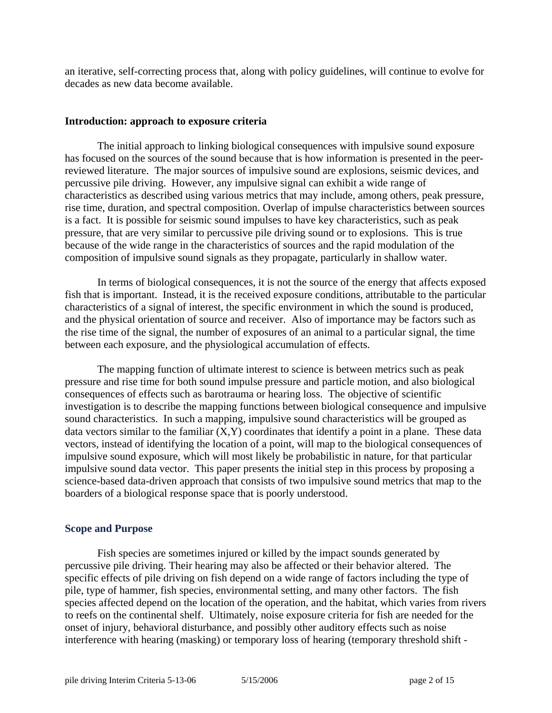an iterative, self-correcting process that, along with policy guidelines, will continue to evolve for decades as new data become available.

#### **Introduction: approach to exposure criteria**

 The initial approach to linking biological consequences with impulsive sound exposure has focused on the sources of the sound because that is how information is presented in the peerreviewed literature. The major sources of impulsive sound are explosions, seismic devices, and percussive pile driving. However, any impulsive signal can exhibit a wide range of characteristics as described using various metrics that may include, among others, peak pressure, rise time, duration, and spectral composition. Overlap of impulse characteristics between sources is a fact. It is possible for seismic sound impulses to have key characteristics, such as peak pressure, that are very similar to percussive pile driving sound or to explosions. This is true because of the wide range in the characteristics of sources and the rapid modulation of the composition of impulsive sound signals as they propagate, particularly in shallow water.

 In terms of biological consequences, it is not the source of the energy that affects exposed fish that is important. Instead, it is the received exposure conditions, attributable to the particular characteristics of a signal of interest, the specific environment in which the sound is produced, and the physical orientation of source and receiver. Also of importance may be factors such as the rise time of the signal, the number of exposures of an animal to a particular signal, the time between each exposure, and the physiological accumulation of effects.

The mapping function of ultimate interest to science is between metrics such as peak pressure and rise time for both sound impulse pressure and particle motion, and also biological consequences of effects such as barotrauma or hearing loss. The objective of scientific investigation is to describe the mapping functions between biological consequence and impulsive sound characteristics. In such a mapping, impulsive sound characteristics will be grouped as data vectors similar to the familiar  $(X, Y)$  coordinates that identify a point in a plane. These data vectors, instead of identifying the location of a point, will map to the biological consequences of impulsive sound exposure, which will most likely be probabilistic in nature, for that particular impulsive sound data vector. This paper presents the initial step in this process by proposing a science-based data-driven approach that consists of two impulsive sound metrics that map to the boarders of a biological response space that is poorly understood.

## **Scope and Purpose**

Fish species are sometimes injured or killed by the impact sounds generated by percussive pile driving. Their hearing may also be affected or their behavior altered. The specific effects of pile driving on fish depend on a wide range of factors including the type of pile, type of hammer, fish species, environmental setting, and many other factors. The fish species affected depend on the location of the operation, and the habitat, which varies from rivers to reefs on the continental shelf. Ultimately, noise exposure criteria for fish are needed for the onset of injury, behavioral disturbance, and possibly other auditory effects such as noise interference with hearing (masking) or temporary loss of hearing (temporary threshold shift -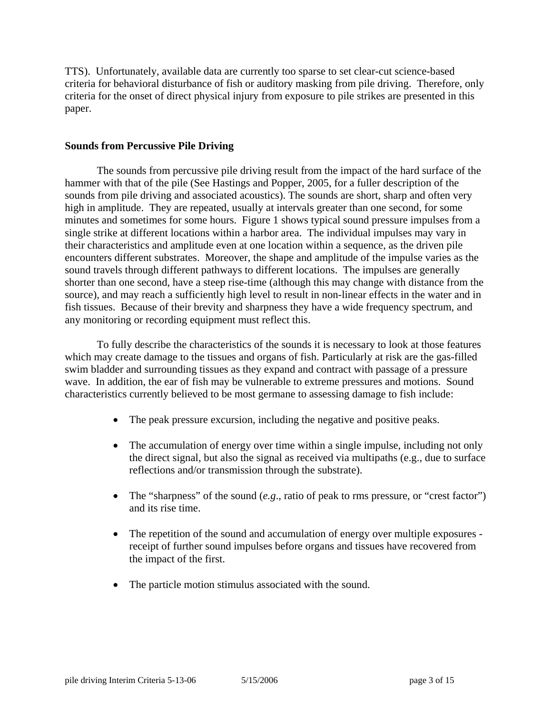TTS). Unfortunately, available data are currently too sparse to set clear-cut science-based criteria for behavioral disturbance of fish or auditory masking from pile driving. Therefore, only criteria for the onset of direct physical injury from exposure to pile strikes are presented in this paper.

## **Sounds from Percussive Pile Driving**

The sounds from percussive pile driving result from the impact of the hard surface of the hammer with that of the pile (See Hastings and Popper, 2005, for a fuller description of the sounds from pile driving and associated acoustics). The sounds are short, sharp and often very high in amplitude. They are repeated, usually at intervals greater than one second, for some minutes and sometimes for some hours. Figure 1 shows typical sound pressure impulses from a single strike at different locations within a harbor area. The individual impulses may vary in their characteristics and amplitude even at one location within a sequence, as the driven pile encounters different substrates. Moreover, the shape and amplitude of the impulse varies as the sound travels through different pathways to different locations. The impulses are generally shorter than one second, have a steep rise-time (although this may change with distance from the source), and may reach a sufficiently high level to result in non-linear effects in the water and in fish tissues. Because of their brevity and sharpness they have a wide frequency spectrum, and any monitoring or recording equipment must reflect this.

To fully describe the characteristics of the sounds it is necessary to look at those features which may create damage to the tissues and organs of fish. Particularly at risk are the gas-filled swim bladder and surrounding tissues as they expand and contract with passage of a pressure wave. In addition, the ear of fish may be vulnerable to extreme pressures and motions. Sound characteristics currently believed to be most germane to assessing damage to fish include:

- The peak pressure excursion, including the negative and positive peaks.
- The accumulation of energy over time within a single impulse, including not only the direct signal, but also the signal as received via multipaths (e.g., due to surface reflections and/or transmission through the substrate).
- The "sharpness" of the sound (*e.g*., ratio of peak to rms pressure, or "crest factor") and its rise time.
- The repetition of the sound and accumulation of energy over multiple exposures receipt of further sound impulses before organs and tissues have recovered from the impact of the first.
- The particle motion stimulus associated with the sound.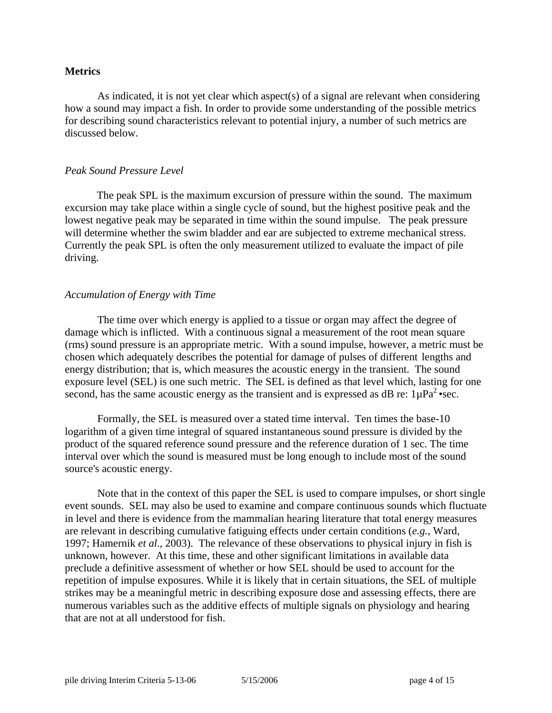## **Metrics**

 As indicated, it is not yet clear which aspect(s) of a signal are relevant when considering how a sound may impact a fish. In order to provide some understanding of the possible metrics for describing sound characteristics relevant to potential injury, a number of such metrics are discussed below.

## *Peak Sound Pressure Level*

 The peak SPL is the maximum excursion of pressure within the sound. The maximum excursion may take place within a single cycle of sound, but the highest positive peak and the lowest negative peak may be separated in time within the sound impulse. The peak pressure will determine whether the swim bladder and ear are subjected to extreme mechanical stress. Currently the peak SPL is often the only measurement utilized to evaluate the impact of pile driving.

# *Accumulation of Energy with Time*

 The time over which energy is applied to a tissue or organ may affect the degree of damage which is inflicted. With a continuous signal a measurement of the root mean square (rms) sound pressure is an appropriate metric. With a sound impulse, however, a metric must be chosen which adequately describes the potential for damage of pulses of different lengths and energy distribution; that is, which measures the acoustic energy in the transient. The sound exposure level (SEL) is one such metric. The SEL is defined as that level which, lasting for one second, has the same acoustic energy as the transient and is expressed as dB re:  $1\mu Pa^2$  •sec.

Formally, the SEL is measured over a stated time interval. Ten times the base-10 logarithm of a given time integral of squared instantaneous sound pressure is divided by the product of the squared reference sound pressure and the reference duration of 1 sec. The time interval over which the sound is measured must be long enough to include most of the sound source's acoustic energy.

Note that in the context of this paper the SEL is used to compare impulses, or short single event sounds. SEL may also be used to examine and compare continuous sounds which fluctuate in level and there is evidence from the mammalian hearing literature that total energy measures are relevant in describing cumulative fatiguing effects under certain conditions (*e.g.*, Ward, 1997; Hamernik *et al*., 2003). The relevance of these observations to physical injury in fish is unknown, however. At this time, these and other significant limitations in available data preclude a definitive assessment of whether or how SEL should be used to account for the repetition of impulse exposures. While it is likely that in certain situations, the SEL of multiple strikes may be a meaningful metric in describing exposure dose and assessing effects, there are numerous variables such as the additive effects of multiple signals on physiology and hearing that are not at all understood for fish.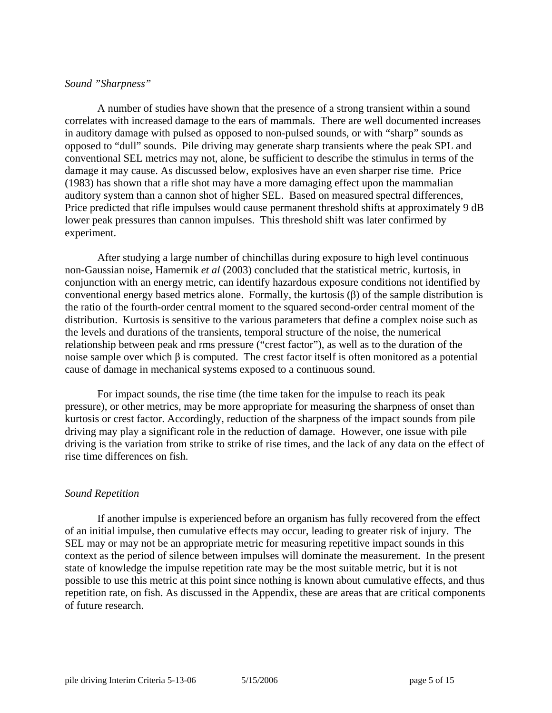## *Sound "Sharpness"*

 A number of studies have shown that the presence of a strong transient within a sound correlates with increased damage to the ears of mammals. There are well documented increases in auditory damage with pulsed as opposed to non-pulsed sounds, or with "sharp" sounds as opposed to "dull" sounds. Pile driving may generate sharp transients where the peak SPL and conventional SEL metrics may not, alone, be sufficient to describe the stimulus in terms of the damage it may cause. As discussed below, explosives have an even sharper rise time. Price (1983) has shown that a rifle shot may have a more damaging effect upon the mammalian auditory system than a cannon shot of higher SEL. Based on measured spectral differences, Price predicted that rifle impulses would cause permanent threshold shifts at approximately 9 dB lower peak pressures than cannon impulses. This threshold shift was later confirmed by experiment.

 After studying a large number of chinchillas during exposure to high level continuous non-Gaussian noise, Hamernik *et al* (2003) concluded that the statistical metric, kurtosis, in conjunction with an energy metric, can identify hazardous exposure conditions not identified by conventional energy based metrics alone. Formally, the kurtosis (β) of the sample distribution is the ratio of the fourth-order central moment to the squared second-order central moment of the distribution. Kurtosis is sensitive to the various parameters that define a complex noise such as the levels and durations of the transients, temporal structure of the noise, the numerical relationship between peak and rms pressure ("crest factor"), as well as to the duration of the noise sample over which  $\beta$  is computed. The crest factor itself is often monitored as a potential cause of damage in mechanical systems exposed to a continuous sound.

 For impact sounds, the rise time (the time taken for the impulse to reach its peak pressure), or other metrics, may be more appropriate for measuring the sharpness of onset than kurtosis or crest factor. Accordingly, reduction of the sharpness of the impact sounds from pile driving may play a significant role in the reduction of damage. However, one issue with pile driving is the variation from strike to strike of rise times, and the lack of any data on the effect of rise time differences on fish.

## *Sound Repetition*

 If another impulse is experienced before an organism has fully recovered from the effect of an initial impulse, then cumulative effects may occur, leading to greater risk of injury. The SEL may or may not be an appropriate metric for measuring repetitive impact sounds in this context as the period of silence between impulses will dominate the measurement. In the present state of knowledge the impulse repetition rate may be the most suitable metric, but it is not possible to use this metric at this point since nothing is known about cumulative effects, and thus repetition rate, on fish. As discussed in the Appendix, these are areas that are critical components of future research.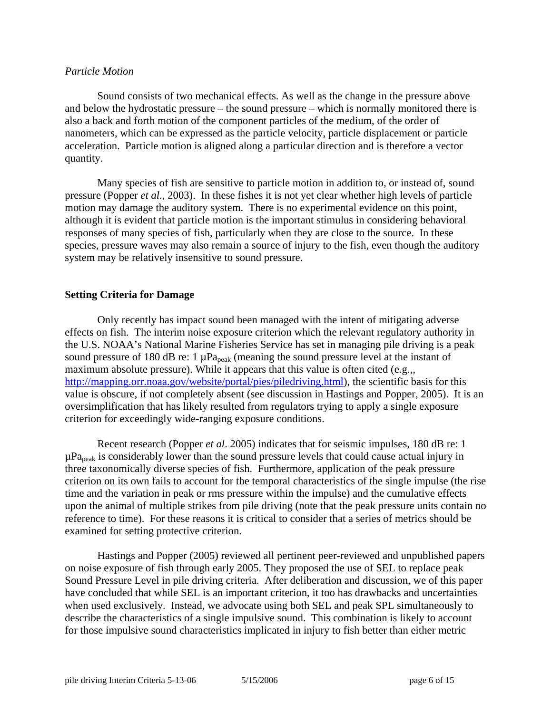## *Particle Motion*

Sound consists of two mechanical effects. As well as the change in the pressure above and below the hydrostatic pressure – the sound pressure – which is normally monitored there is also a back and forth motion of the component particles of the medium, of the order of nanometers, which can be expressed as the particle velocity, particle displacement or particle acceleration. Particle motion is aligned along a particular direction and is therefore a vector quantity.

Many species of fish are sensitive to particle motion in addition to, or instead of, sound pressure (Popper *et al*., 2003). In these fishes it is not yet clear whether high levels of particle motion may damage the auditory system. There is no experimental evidence on this point, although it is evident that particle motion is the important stimulus in considering behavioral responses of many species of fish, particularly when they are close to the source. In these species, pressure waves may also remain a source of injury to the fish, even though the auditory system may be relatively insensitive to sound pressure.

# **Setting Criteria for Damage**

Only recently has impact sound been managed with the intent of mitigating adverse effects on fish. The interim noise exposure criterion which the relevant regulatory authority in the U.S. NOAA's National Marine Fisheries Service has set in managing pile driving is a peak sound pressure of 180 dB re: 1  $\mu$ Pa<sub>peak</sub> (meaning the sound pressure level at the instant of maximum absolute pressure). While it appears that this value is often cited (e.g.,, <http://mapping.orr.noaa.gov/website/portal/pies/piledriving.html>), the scientific basis for this value is obscure, if not completely absent (see discussion in Hastings and Popper, 2005). It is an oversimplification that has likely resulted from regulators trying to apply a single exposure criterion for exceedingly wide-ranging exposure conditions.

Recent research (Popper *et al*. 2005) indicates that for seismic impulses, 180 dB re: 1  $\mu$ Pa<sub>peak</sub> is considerably lower than the sound pressure levels that could cause actual injury in three taxonomically diverse species of fish. Furthermore, application of the peak pressure criterion on its own fails to account for the temporal characteristics of the single impulse (the rise time and the variation in peak or rms pressure within the impulse) and the cumulative effects upon the animal of multiple strikes from pile driving (note that the peak pressure units contain no reference to time). For these reasons it is critical to consider that a series of metrics should be examined for setting protective criterion.

Hastings and Popper (2005) reviewed all pertinent peer-reviewed and unpublished papers on noise exposure of fish through early 2005. They proposed the use of SEL to replace peak Sound Pressure Level in pile driving criteria. After deliberation and discussion, we of this paper have concluded that while SEL is an important criterion, it too has drawbacks and uncertainties when used exclusively. Instead, we advocate using both SEL and peak SPL simultaneously to describe the characteristics of a single impulsive sound. This combination is likely to account for those impulsive sound characteristics implicated in injury to fish better than either metric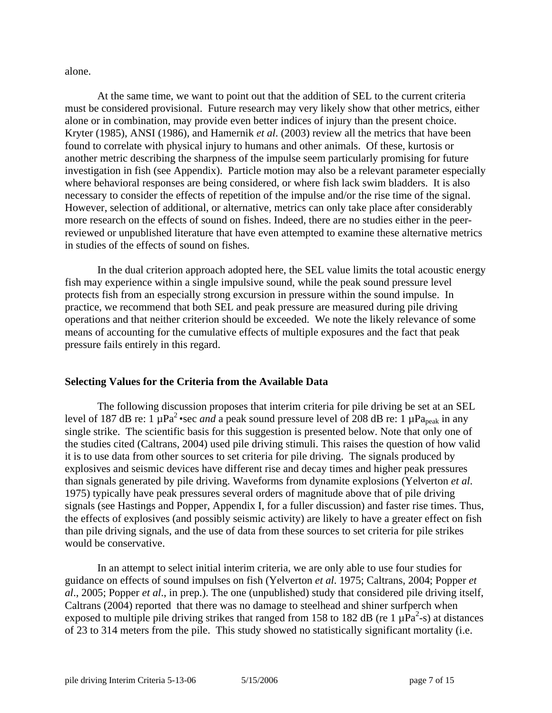alone.

At the same time, we want to point out that the addition of SEL to the current criteria must be considered provisional. Future research may very likely show that other metrics, either alone or in combination, may provide even better indices of injury than the present choice. Kryter (1985), ANSI (1986), and Hamernik *et al*. (2003) review all the metrics that have been found to correlate with physical injury to humans and other animals. Of these, kurtosis or another metric describing the sharpness of the impulse seem particularly promising for future investigation in fish (see Appendix). Particle motion may also be a relevant parameter especially where behavioral responses are being considered, or where fish lack swim bladders. It is also necessary to consider the effects of repetition of the impulse and/or the rise time of the signal. However, selection of additional, or alternative, metrics can only take place after considerably more research on the effects of sound on fishes. Indeed, there are no studies either in the peerreviewed or unpublished literature that have even attempted to examine these alternative metrics in studies of the effects of sound on fishes.

 In the dual criterion approach adopted here, the SEL value limits the total acoustic energy fish may experience within a single impulsive sound, while the peak sound pressure level protects fish from an especially strong excursion in pressure within the sound impulse. In practice, we recommend that both SEL and peak pressure are measured during pile driving operations and that neither criterion should be exceeded. We note the likely relevance of some means of accounting for the cumulative effects of multiple exposures and the fact that peak pressure fails entirely in this regard.

## **Selecting Values for the Criteria from the Available Data**

 The following discussion proposes that interim criteria for pile driving be set at an SEL level of 187 dB re: 1  $\mu$ Pa<sup>2</sup> •sec *and* a peak sound pressure level of 208 dB re: 1  $\mu$ Pa<sub>peak</sub> in any single strike. The scientific basis for this suggestion is presented below. Note that only one of the studies cited (Caltrans, 2004) used pile driving stimuli. This raises the question of how valid it is to use data from other sources to set criteria for pile driving. The signals produced by explosives and seismic devices have different rise and decay times and higher peak pressures than signals generated by pile driving. Waveforms from dynamite explosions (Yelverton *et al*. 1975) typically have peak pressures several orders of magnitude above that of pile driving signals (see Hastings and Popper, Appendix I, for a fuller discussion) and faster rise times. Thus, the effects of explosives (and possibly seismic activity) are likely to have a greater effect on fish than pile driving signals, and the use of data from these sources to set criteria for pile strikes would be conservative.

 In an attempt to select initial interim criteria, we are only able to use four studies for guidance on effects of sound impulses on fish (Yelverton *et al*. 1975; Caltrans, 2004; Popper *et al*., 2005; Popper *et al*., in prep.). The one (unpublished) study that considered pile driving itself, Caltrans (2004) reported that there was no damage to steelhead and shiner surfperch when exposed to multiple pile driving strikes that ranged from 158 to 182 dB (re 1  $\mu$ Pa<sup>2</sup>-s) at distances of 23 to 314 meters from the pile. This study showed no statistically significant mortality (i.e.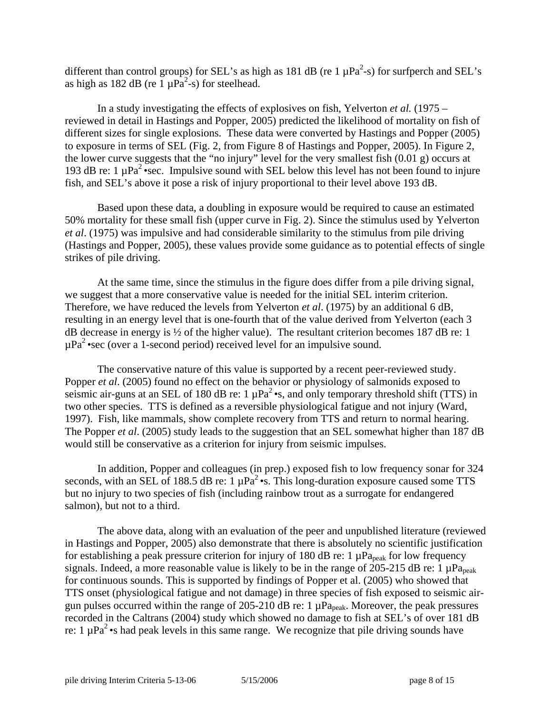different than control groups) for SEL's as high as 181 dB (re 1  $\mu$ Pa<sup>2</sup>-s) for surfperch and SEL's as high as 182 dB (re  $1 \mu Pa^2$ -s) for steelhead.

In a study investigating the effects of explosives on fish, Yelverton *et al.* (1975 – reviewed in detail in Hastings and Popper, 2005) predicted the likelihood of mortality on fish of different sizes for single explosions. These data were converted by Hastings and Popper (2005) to exposure in terms of SEL (Fig. 2, from Figure 8 of Hastings and Popper, 2005). In Figure 2, the lower curve suggests that the "no injury" level for the very smallest fish (0.01 g) occurs at 193 dB re: 1  $\mu$ Pa<sup>2</sup> •sec. Impulsive sound with SEL below this level has not been found to injure fish, and SEL's above it pose a risk of injury proportional to their level above 193 dB.

Based upon these data, a doubling in exposure would be required to cause an estimated 50% mortality for these small fish (upper curve in Fig. 2). Since the stimulus used by Yelverton *et al*. (1975) was impulsive and had considerable similarity to the stimulus from pile driving (Hastings and Popper, 2005), these values provide some guidance as to potential effects of single strikes of pile driving.

At the same time, since the stimulus in the figure does differ from a pile driving signal, we suggest that a more conservative value is needed for the initial SEL interim criterion. Therefore, we have reduced the levels from Yelverton *et al*. (1975) by an additional 6 dB, resulting in an energy level that is one-fourth that of the value derived from Yelverton (each 3 dB decrease in energy is ½ of the higher value). The resultant criterion becomes 187 dB re: 1  $\mu Pa^2$ •sec (over a 1-second period) received level for an impulsive sound.

 The conservative nature of this value is supported by a recent peer-reviewed study. Popper *et al.* (2005) found no effect on the behavior or physiology of salmonids exposed to seismic air-guns at an SEL of 180 dB re:  $1 \mu Pa^2 \cdot s$ , and only temporary threshold shift (TTS) in two other species. TTS is defined as a reversible physiological fatigue and not injury (Ward, 1997). Fish, like mammals, show complete recovery from TTS and return to normal hearing. The Popper *et al*. (2005) study leads to the suggestion that an SEL somewhat higher than 187 dB would still be conservative as a criterion for injury from seismic impulses.

In addition, Popper and colleagues (in prep.) exposed fish to low frequency sonar for 324 seconds, with an SEL of 188.5 dB re:  $1 \mu Pa^2 \cdot s$ . This long-duration exposure caused some TTS but no injury to two species of fish (including rainbow trout as a surrogate for endangered salmon), but not to a third.

 The above data, along with an evaluation of the peer and unpublished literature (reviewed in Hastings and Popper, 2005) also demonstrate that there is absolutely no scientific justification for establishing a peak pressure criterion for injury of 180 dB re: 1  $\mu$ Pa<sub>peak</sub> for low frequency signals. Indeed, a more reasonable value is likely to be in the range of 205-215 dB re: 1  $\mu$ Pa<sub>peak</sub> for continuous sounds. This is supported by findings of Popper et al. (2005) who showed that TTS onset (physiological fatigue and not damage) in three species of fish exposed to seismic airgun pulses occurred within the range of 205-210 dB re:  $1 \mu Pa_{peak}$ . Moreover, the peak pressures recorded in the Caltrans (2004) study which showed no damage to fish at SEL's of over 181 dB re: 1  $\mu$ Pa<sup>2</sup> •s had peak levels in this same range. We recognize that pile driving sounds have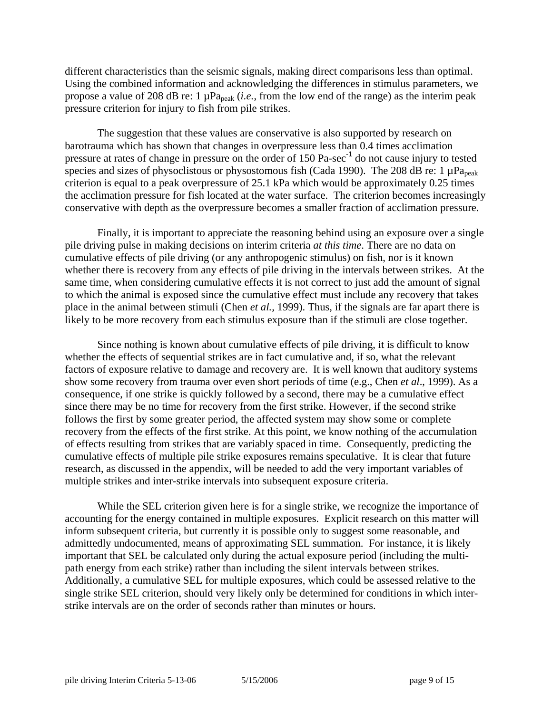different characteristics than the seismic signals, making direct comparisons less than optimal. Using the combined information and acknowledging the differences in stimulus parameters, we propose a value of 208 dB re: 1 µPa<sub>peak</sub> (*i.e.*, from the low end of the range) as the interim peak pressure criterion for injury to fish from pile strikes.

The suggestion that these values are conservative is also supported by research on barotrauma which has shown that changes in overpressure less than 0.4 times acclimation pressure at rates of change in pressure on the order of 150 Pa-sec<sup>-1</sup> do not cause injury to tested species and sizes of physoclistous or physostomous fish (Cada 1990). The 208 dB re: 1  $\mu$ Pa<sub>peak</sub> criterion is equal to a peak overpressure of 25.1 kPa which would be approximately 0.25 times the acclimation pressure for fish located at the water surface. The criterion becomes increasingly conservative with depth as the overpressure becomes a smaller fraction of acclimation pressure.

Finally, it is important to appreciate the reasoning behind using an exposure over a single pile driving pulse in making decisions on interim criteria *at this time*. There are no data on cumulative effects of pile driving (or any anthropogenic stimulus) on fish, nor is it known whether there is recovery from any effects of pile driving in the intervals between strikes. At the same time, when considering cumulative effects it is not correct to just add the amount of signal to which the animal is exposed since the cumulative effect must include any recovery that takes place in the animal between stimuli (Chen *et al.,* 1999). Thus, if the signals are far apart there is likely to be more recovery from each stimulus exposure than if the stimuli are close together.

Since nothing is known about cumulative effects of pile driving, it is difficult to know whether the effects of sequential strikes are in fact cumulative and, if so, what the relevant factors of exposure relative to damage and recovery are. It is well known that auditory systems show some recovery from trauma over even short periods of time (e.g., Chen *et al*., 1999). As a consequence, if one strike is quickly followed by a second, there may be a cumulative effect since there may be no time for recovery from the first strike. However, if the second strike follows the first by some greater period, the affected system may show some or complete recovery from the effects of the first strike. At this point, we know nothing of the accumulation of effects resulting from strikes that are variably spaced in time. Consequently, predicting the cumulative effects of multiple pile strike exposures remains speculative. It is clear that future research, as discussed in the appendix, will be needed to add the very important variables of multiple strikes and inter-strike intervals into subsequent exposure criteria.

While the SEL criterion given here is for a single strike, we recognize the importance of accounting for the energy contained in multiple exposures. Explicit research on this matter will inform subsequent criteria, but currently it is possible only to suggest some reasonable, and admittedly undocumented, means of approximating SEL summation. For instance, it is likely important that SEL be calculated only during the actual exposure period (including the multipath energy from each strike) rather than including the silent intervals between strikes. Additionally, a cumulative SEL for multiple exposures, which could be assessed relative to the single strike SEL criterion, should very likely only be determined for conditions in which interstrike intervals are on the order of seconds rather than minutes or hours.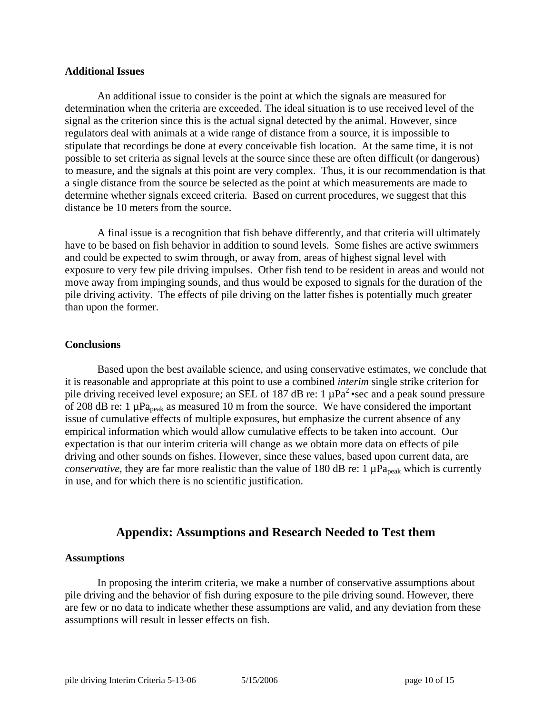### **Additional Issues**

 An additional issue to consider is the point at which the signals are measured for determination when the criteria are exceeded. The ideal situation is to use received level of the signal as the criterion since this is the actual signal detected by the animal. However, since regulators deal with animals at a wide range of distance from a source, it is impossible to stipulate that recordings be done at every conceivable fish location. At the same time, it is not possible to set criteria as signal levels at the source since these are often difficult (or dangerous) to measure, and the signals at this point are very complex. Thus, it is our recommendation is that a single distance from the source be selected as the point at which measurements are made to determine whether signals exceed criteria. Based on current procedures, we suggest that this distance be 10 meters from the source.

 A final issue is a recognition that fish behave differently, and that criteria will ultimately have to be based on fish behavior in addition to sound levels. Some fishes are active swimmers and could be expected to swim through, or away from, areas of highest signal level with exposure to very few pile driving impulses. Other fish tend to be resident in areas and would not move away from impinging sounds, and thus would be exposed to signals for the duration of the pile driving activity. The effects of pile driving on the latter fishes is potentially much greater than upon the former.

#### **Conclusions**

 Based upon the best available science, and using conservative estimates, we conclude that it is reasonable and appropriate at this point to use a combined *interim* single strike criterion for pile driving received level exposure; an SEL of 187 dB re: 1  $\mu$ Pa<sup>2</sup> • sec and a peak sound pressure of 208 dB re: 1  $\mu$ Pa<sub>peak</sub> as measured 10 m from the source. We have considered the important issue of cumulative effects of multiple exposures, but emphasize the current absence of any empirical information which would allow cumulative effects to be taken into account. Our expectation is that our interim criteria will change as we obtain more data on effects of pile driving and other sounds on fishes. However, since these values, based upon current data, are *conservative*, they are far more realistic than the value of 180 dB re: 1  $\mu$ Pa<sub>peak</sub> which is currently in use, and for which there is no scientific justification.

# **Appendix: Assumptions and Research Needed to Test them**

## **Assumptions**

 In proposing the interim criteria, we make a number of conservative assumptions about pile driving and the behavior of fish during exposure to the pile driving sound. However, there are few or no data to indicate whether these assumptions are valid, and any deviation from these assumptions will result in lesser effects on fish.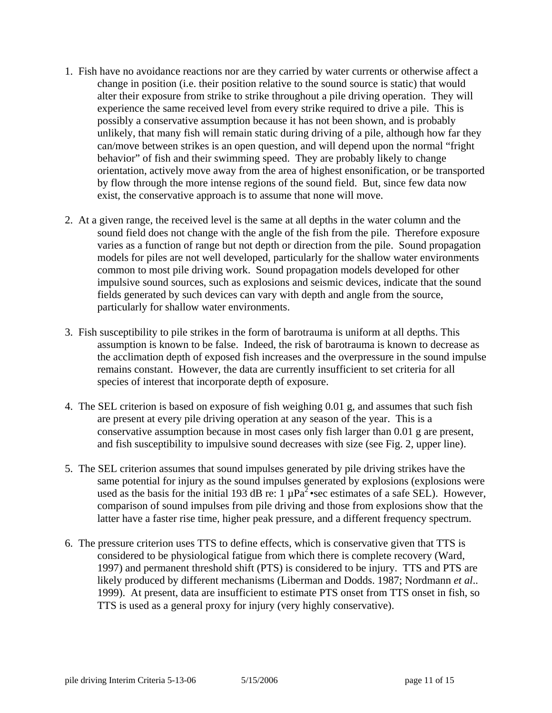- 1. Fish have no avoidance reactions nor are they carried by water currents or otherwise affect a change in position (i.e. their position relative to the sound source is static) that would alter their exposure from strike to strike throughout a pile driving operation. They will experience the same received level from every strike required to drive a pile. This is possibly a conservative assumption because it has not been shown, and is probably unlikely, that many fish will remain static during driving of a pile, although how far they can/move between strikes is an open question, and will depend upon the normal "fright behavior" of fish and their swimming speed. They are probably likely to change orientation, actively move away from the area of highest ensonification, or be transported by flow through the more intense regions of the sound field. But, since few data now exist, the conservative approach is to assume that none will move.
- 2. At a given range, the received level is the same at all depths in the water column and the sound field does not change with the angle of the fish from the pile. Therefore exposure varies as a function of range but not depth or direction from the pile. Sound propagation models for piles are not well developed, particularly for the shallow water environments common to most pile driving work. Sound propagation models developed for other impulsive sound sources, such as explosions and seismic devices, indicate that the sound fields generated by such devices can vary with depth and angle from the source, particularly for shallow water environments.
- 3. Fish susceptibility to pile strikes in the form of barotrauma is uniform at all depths. This assumption is known to be false. Indeed, the risk of barotrauma is known to decrease as the acclimation depth of exposed fish increases and the overpressure in the sound impulse remains constant. However, the data are currently insufficient to set criteria for all species of interest that incorporate depth of exposure.
- 4. The SEL criterion is based on exposure of fish weighing 0.01 g, and assumes that such fish are present at every pile driving operation at any season of the year. This is a conservative assumption because in most cases only fish larger than 0.01 g are present, and fish susceptibility to impulsive sound decreases with size (see Fig. 2, upper line).
- 5. The SEL criterion assumes that sound impulses generated by pile driving strikes have the same potential for injury as the sound impulses generated by explosions (explosions were used as the basis for the initial 193 dB re: 1  $\mu$ Pa<sup>2</sup> • sec estimates of a safe SEL). However, comparison of sound impulses from pile driving and those from explosions show that the latter have a faster rise time, higher peak pressure, and a different frequency spectrum.
- 6. The pressure criterion uses TTS to define effects, which is conservative given that TTS is considered to be physiological fatigue from which there is complete recovery (Ward, 1997) and permanent threshold shift (PTS) is considered to be injury. TTS and PTS are likely produced by different mechanisms (Liberman and Dodds. 1987; Nordmann *et al*.. 1999). At present, data are insufficient to estimate PTS onset from TTS onset in fish, so TTS is used as a general proxy for injury (very highly conservative).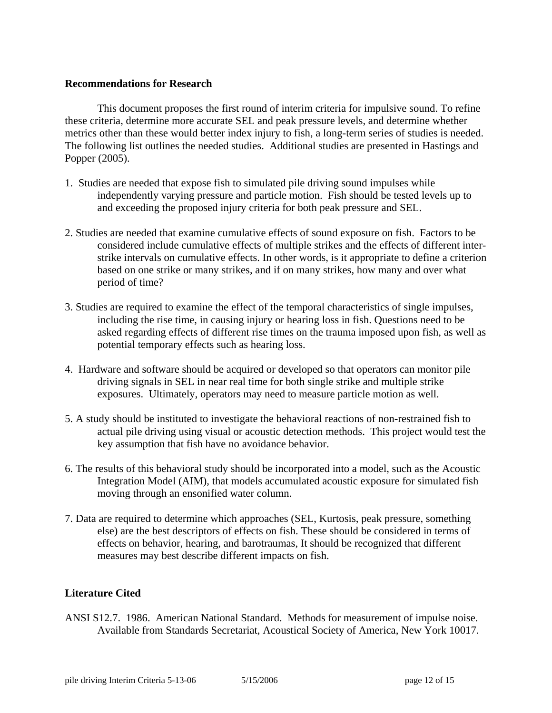## **Recommendations for Research**

 This document proposes the first round of interim criteria for impulsive sound. To refine these criteria, determine more accurate SEL and peak pressure levels, and determine whether metrics other than these would better index injury to fish, a long-term series of studies is needed. The following list outlines the needed studies. Additional studies are presented in Hastings and Popper (2005).

- 1. Studies are needed that expose fish to simulated pile driving sound impulses while independently varying pressure and particle motion. Fish should be tested levels up to and exceeding the proposed injury criteria for both peak pressure and SEL.
- 2. Studies are needed that examine cumulative effects of sound exposure on fish. Factors to be considered include cumulative effects of multiple strikes and the effects of different interstrike intervals on cumulative effects. In other words, is it appropriate to define a criterion based on one strike or many strikes, and if on many strikes, how many and over what period of time?
- 3. Studies are required to examine the effect of the temporal characteristics of single impulses, including the rise time, in causing injury or hearing loss in fish. Questions need to be asked regarding effects of different rise times on the trauma imposed upon fish, as well as potential temporary effects such as hearing loss.
- 4. Hardware and software should be acquired or developed so that operators can monitor pile driving signals in SEL in near real time for both single strike and multiple strike exposures. Ultimately, operators may need to measure particle motion as well.
- 5. A study should be instituted to investigate the behavioral reactions of non-restrained fish to actual pile driving using visual or acoustic detection methods. This project would test the key assumption that fish have no avoidance behavior.
- 6. The results of this behavioral study should be incorporated into a model, such as the Acoustic Integration Model (AIM), that models accumulated acoustic exposure for simulated fish moving through an ensonified water column.
- 7. Data are required to determine which approaches (SEL, Kurtosis, peak pressure, something else) are the best descriptors of effects on fish. These should be considered in terms of effects on behavior, hearing, and barotraumas, It should be recognized that different measures may best describe different impacts on fish.

# **Literature Cited**

ANSI S12.7. 1986. American National Standard. Methods for measurement of impulse noise. Available from Standards Secretariat, Acoustical Society of America, New York 10017.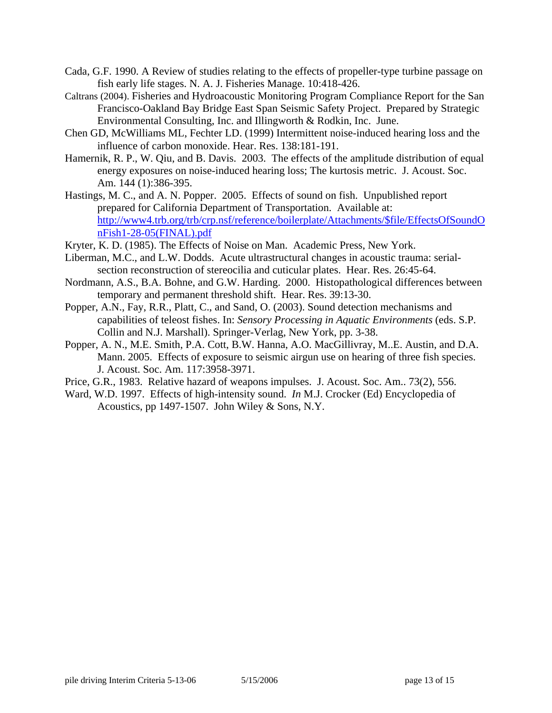- Cada, G.F. 1990. A Review of studies relating to the effects of propeller-type turbine passage on fish early life stages. N. A. J. Fisheries Manage. 10:418-426.
- Caltrans (2004). Fisheries and Hydroacoustic Monitoring Program Compliance Report for the San Francisco-Oakland Bay Bridge East Span Seismic Safety Project. Prepared by Strategic Environmental Consulting, Inc. and Illingworth & Rodkin, Inc. June.
- [Chen GD,](http://www.ncbi.nlm.nih.gov/entrez/query.fcgi?db=PubMed&cmd=Search&itool=PubMed_Abstract&term=%22Chen+GD%22%5BAuthor%5D) [McWilliams ML,](http://www.ncbi.nlm.nih.gov/entrez/query.fcgi?db=PubMed&cmd=Search&itool=PubMed_Abstract&term=%22McWilliams+ML%22%5BAuthor%5D) [Fechter LD.](http://www.ncbi.nlm.nih.gov/entrez/query.fcgi?db=PubMed&cmd=Search&itool=PubMed_Abstract&term=%22Fechter+LD%22%5BAuthor%5D) (1999) Intermittent noise-induced hearing loss and the influence of carbon monoxide. Hear. Res. 138:181-191.
- Hamernik, R. P., W. Qiu, and B. Davis. 2003. The effects of the amplitude distribution of equal energy exposures on noise-induced hearing loss; The kurtosis metric. J. Acoust. Soc. Am. 144 (1):386-395.
- Hastings, M. C., and A. N. Popper. 2005. Effects of sound on fish. Unpublished report prepared for California Department of Transportation. Available at: [http://www4.trb.org/trb/crp.nsf/reference/boilerplate/Attachments/\\$file/EffectsOfSoundO](http://www4.trb.org/trb/crp.nsf/reference/boilerplate/Attachments/$file/EffectsOfSoundOnFish1-28-05(FINAL).pdf) [nFish1-28-05\(FINAL\).pdf](http://www4.trb.org/trb/crp.nsf/reference/boilerplate/Attachments/$file/EffectsOfSoundOnFish1-28-05(FINAL).pdf)
- Kryter, K. D. (1985). The Effects of Noise on Man. Academic Press, New York.
- Liberman, M.C., and L.W. Dodds. Acute ultrastructural changes in acoustic trauma: serialsection reconstruction of stereocilia and cuticular plates. Hear. Res. 26:45-64.
- Nordmann, A.S., B.A. Bohne, and G.W. Harding. 2000. Histopathological differences between temporary and permanent threshold shift. Hear. Res. 39:13-30.
- Popper, A.N., Fay, R.R., Platt, C., and Sand, O. (2003). Sound detection mechanisms and capabilities of teleost fishes. In: *Sensory Processing in Aquatic Environments* (eds. S.P. Collin and N.J. Marshall). Springer-Verlag, New York, pp. 3-38.
- Popper, A. N., M.E. Smith, P.A. Cott, B.W. Hanna, A.O. MacGillivray, M..E. Austin, and D.A. Mann. 2005. Effects of exposure to seismic airgun use on hearing of three fish species. J. Acoust. Soc. Am. 117:3958-3971.
- Price, G.R., 1983. Relative hazard of weapons impulses. J. Acoust. Soc. Am.. 73(2), 556.
- Ward, W.D. 1997. Effects of high-intensity sound. *In* M.J. Crocker (Ed) Encyclopedia of Acoustics, pp 1497-1507. John Wiley & Sons, N.Y.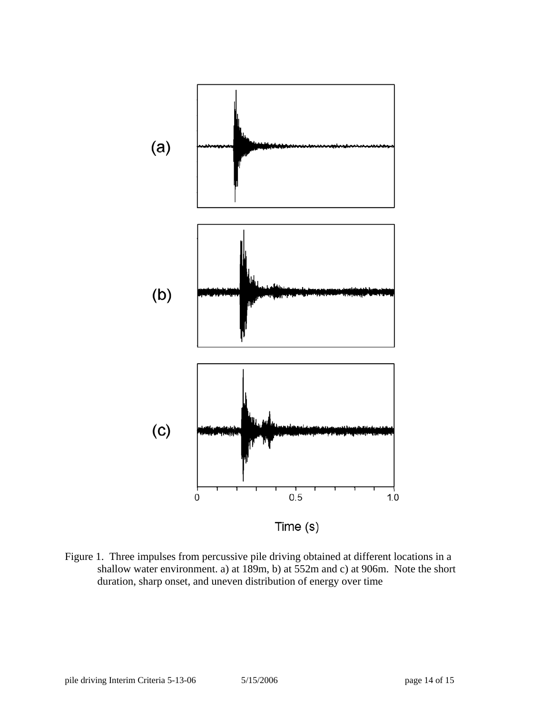

Figure 1. Three impulses from percussive pile driving obtained at different locations in a shallow water environment. a) at 189m, b) at 552m and c) at 906m. Note the short duration, sharp onset, and uneven distribution of energy over time